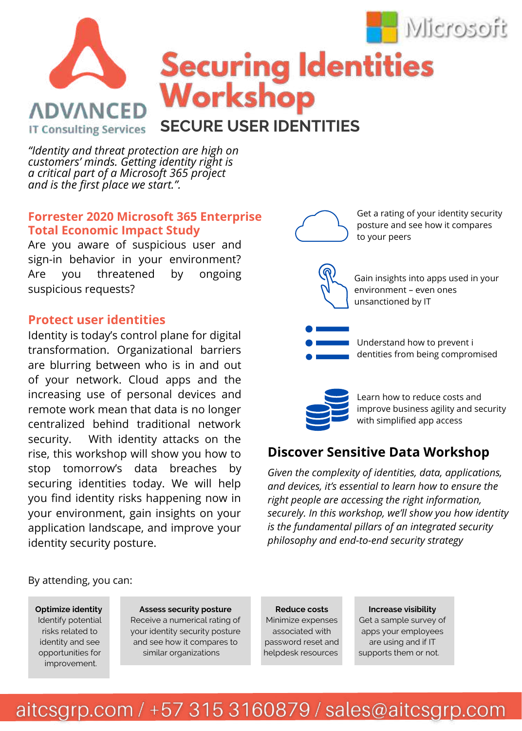

**Securing Identities** Workshop **ADVANCED SECURE USER IDENTITIES IT Consulting Services** 

*"Identity and threat protection are high on customers' minds. Getting identity right is a critical part of a Microsoft 365 project and is the first place we start.".* 

### **Forrester 2020 Microsoft 365 Enterprise Total Economic Impact Study**

Are you aware of suspicious user and sign-in behavior in your environment? Are you threatened by ongoing suspicious requests?

### **Protect user identities**

Identity is today's control plane for digital transformation. Organizational barriers are blurring between who is in and out of your network. Cloud apps and the increasing use of personal devices and remote work mean that data is no longer centralized behind traditional network security. With identity attacks on the rise, this workshop will show you how to stop tomorrow's data breaches by securing identities today. We will help you find identity risks happening now in your environment, gain insights on your application landscape, and improve your identity security posture.

# Get a rating of your identity security posture and see how it compares to your peers Gain insights into apps used in your environment – even ones unsanctioned by IT Understand how to prevent i dentities from being compromised Learn how to reduce costs and

improve business agility and security with simplified app access

## **Discover Sensitive Data Workshop**

*Given the complexity of identities, data, applications, and devices, it's essential to learn how to ensure the right people are accessing the right information, securely. In this workshop, we'll show you how identity is the fundamental pillars of an integrated security philosophy and end-to-end security strategy* 

#### By attending, you can:

**Optimize identity** Identify potential risks related to identity and see opportunities for improvement.

**Assess security posture** Receive a numerical rating of your identity security posture and see how it compares to similar organizations

**Reduce costs** Minimize expenses associated with password reset and helpdesk resources

#### **Increase visibility**

Get a sample survey of apps your employees are using and if IT supports them or not.

aitcsgrp.com / +57 315 3160879 / sales@aitcsgrp.com